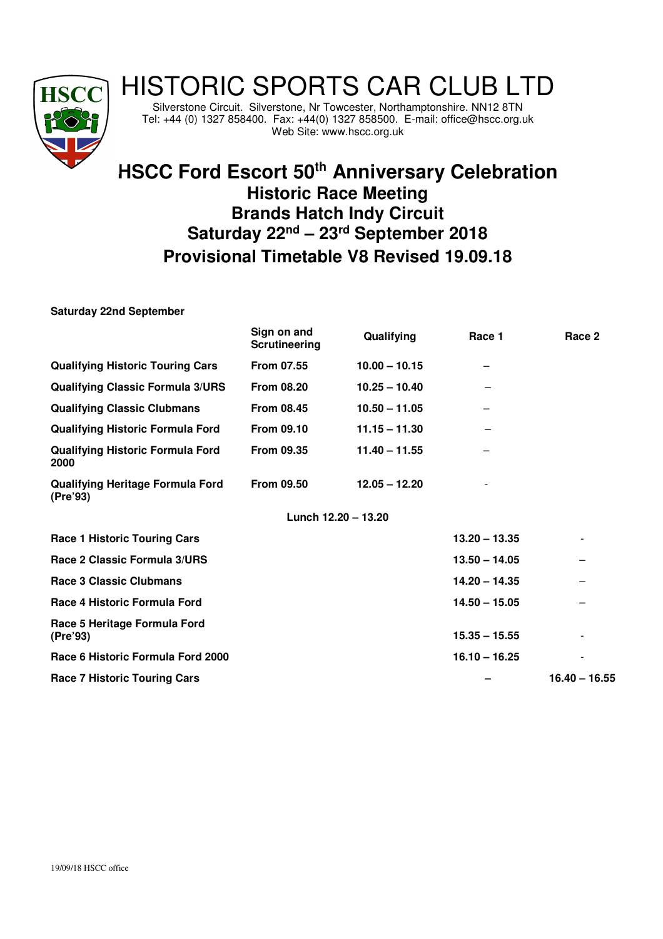

## HISTORIC SPORTS CAR CLUB LTD

Silverstone Circuit. Silverstone, Nr Towcester, Northamptonshire. NN12 8TN Tel: +44 (0) 1327 858400. Fax: +44(0) 1327 858500. E-mail: office@hscc.org.uk Web Site: www.hscc.org.uk

## **HSCC Ford Escort 50th Anniversary Celebration Historic Race Meeting Brands Hatch Indy Circuit Saturday 22nd – 23rd September 2018 Provisional Timetable V8 Revised 19.09.18**

**Saturday 22nd September** 

|                                                     | Sign on and<br><b>Scrutineering</b> | Qualifying          | Race 1          | Race 2          |
|-----------------------------------------------------|-------------------------------------|---------------------|-----------------|-----------------|
| <b>Qualifying Historic Touring Cars</b>             | <b>From 07.55</b>                   | $10.00 - 10.15$     |                 |                 |
| <b>Qualifying Classic Formula 3/URS</b>             | <b>From 08.20</b>                   | $10.25 - 10.40$     |                 |                 |
| <b>Qualifying Classic Clubmans</b>                  | <b>From 08.45</b>                   | $10.50 - 11.05$     |                 |                 |
| <b>Qualifying Historic Formula Ford</b>             | From 09.10                          | $11.15 - 11.30$     |                 |                 |
| <b>Qualifying Historic Formula Ford</b><br>2000     | <b>From 09.35</b>                   | $11.40 - 11.55$     |                 |                 |
| <b>Qualifying Heritage Formula Ford</b><br>(Pre'93) | <b>From 09.50</b>                   | $12.05 - 12.20$     |                 |                 |
|                                                     |                                     | Lunch 12.20 - 13.20 |                 |                 |
| <b>Race 1 Historic Touring Cars</b>                 |                                     |                     | $13.20 - 13.35$ |                 |
| Race 2 Classic Formula 3/URS                        |                                     |                     | $13.50 - 14.05$ |                 |
| Race 3 Classic Clubmans                             |                                     |                     | $14.20 - 14.35$ |                 |
| Race 4 Historic Formula Ford                        |                                     |                     | $14.50 - 15.05$ |                 |
| Race 5 Heritage Formula Ford<br>(Pre'93)            |                                     |                     | $15.35 - 15.55$ |                 |
| Race 6 Historic Formula Ford 2000                   |                                     |                     | $16.10 - 16.25$ |                 |
| <b>Race 7 Historic Touring Cars</b>                 |                                     |                     |                 | $16.40 - 16.55$ |